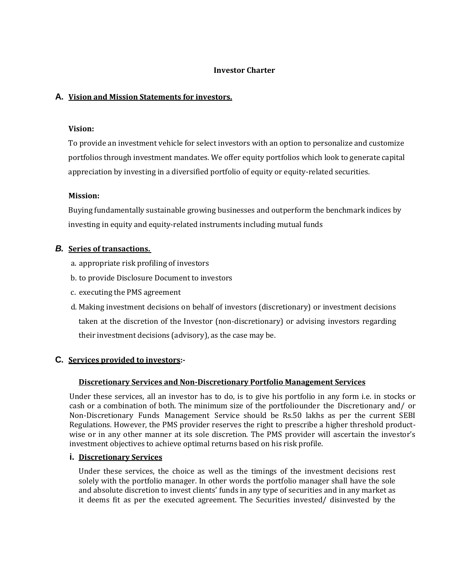## **Investor Charter**

# **A. Vision and Mission Statements for investors.**

#### **Vision:**

To provide an investment vehicle for select investors with an option to personalize and customize portfolios through investment mandates. We offer equity portfolios which look to generate capital appreciation by investing in a diversified portfolio of equity or equity-related securities.

### **Mission:**

Buying fundamentally sustainable growing businesses and outperform the benchmark indices by investing in equity and equity-related instruments including mutual funds

### *B.* **Series of transactions.**

- a. appropriate risk profiling of investors
- b. to provide Disclosure Document to investors
- c. executing the PMS agreement
- d. Making investment decisions on behalf of investors (discretionary) or investment decisions taken at the discretion of the Investor (non-discretionary) or advising investors regarding their investment decisions (advisory), as the case may be.

### **C. Services provided to investors:-**

### **Discretionary Services and Non-Discretionary Portfolio Management Services**

Under these services, all an investor has to do, is to give his portfolio in any form i.e. in stocks or cash or a combination of both. The minimum size of the portfoliounder the Discretionary and/ or Non-Discretionary Funds Management Service should be Rs.50 lakhs as per the current SEBI Regulations. However, the PMS provider reserves the right to prescribe a higher threshold productwise or in any other manner at its sole discretion. The PMS provider will ascertain the investor's investment objectives to achieve optimal returns based on his risk profile.

#### **i. Discretionary Services**

Under these services, the choice as well as the timings of the investment decisions rest solely with the portfolio manager. In other words the portfolio manager shall have the sole and absolute discretion to invest clients' funds in any type of securities and in any market as it deems fit as per the executed agreement. The Securities invested/ disinvested by the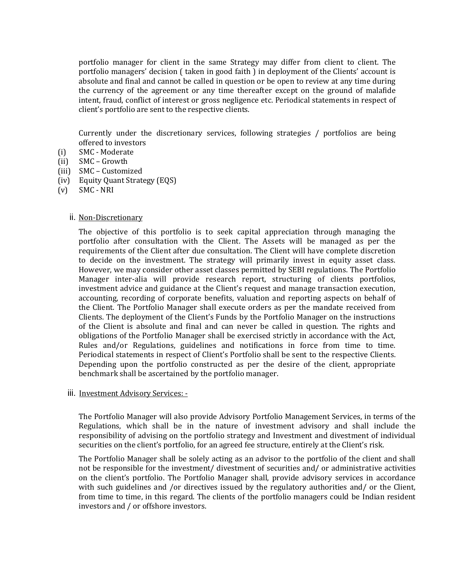portfolio manager for client in the same Strategy may differ from client to client. The portfolio managers' decision ( taken in good faith ) in deployment of the Clients' account is absolute and final and cannot be called in question or be open to review at any time during the currency of the agreement or any time thereafter except on the ground of malafide intent, fraud, conflict of interest or gross negligence etc. Periodical statements in respect of client's portfolio are sent to the respective clients.

Currently under the discretionary services, following strategies / portfolios are being offered to investors

- (i) SMC Moderate
- (ii) SMC Growth
- (iii) SMC Customized
- (iv) Equity Quant Strategy (EQS)
- (v) SMC NRI
	- ii. Non-Discretionary

The objective of this portfolio is to seek capital appreciation through managing the portfolio after consultation with the Client. The Assets will be managed as per the requirements of the Client after due consultation. The Client will have complete discretion to decide on the investment. The strategy will primarily invest in equity asset class. However, we may consider other asset classes permitted by SEBI regulations. The Portfolio Manager inter-alia will provide research report, structuring of clients portfolios, investment advice and guidance at the Client's request and manage transaction execution, accounting, recording of corporate benefits, valuation and reporting aspects on behalf of the Client. The Portfolio Manager shall execute orders as per the mandate received from Clients. The deployment of the Client's Funds by the Portfolio Manager on the instructions of the Client is absolute and final and can never be called in question. The rights and obligations of the Portfolio Manager shall be exercised strictly in accordance with the Act, Rules and/or Regulations, guidelines and notifications in force from time to time. Periodical statements in respect of Client's Portfolio shall be sent to the respective Clients. Depending upon the portfolio constructed as per the desire of the client, appropriate benchmark shall be ascertained by the portfolio manager.

iii. Investment Advisory Services: -

The Portfolio Manager will also provide Advisory Portfolio Management Services, in terms of the Regulations, which shall be in the nature of investment advisory and shall include the responsibility of advising on the portfolio strategy and Investment and divestment of individual securities on the client's portfolio, for an agreed fee structure, entirely at the Client's risk.

The Portfolio Manager shall be solely acting as an advisor to the portfolio of the client and shall not be responsible for the investment/ divestment of securities and/ or administrative activities on the client's portfolio. The Portfolio Manager shall, provide advisory services in accordance with such guidelines and /or directives issued by the regulatory authorities and/ or the Client, from time to time, in this regard. The clients of the portfolio managers could be Indian resident investors and / or offshore investors.